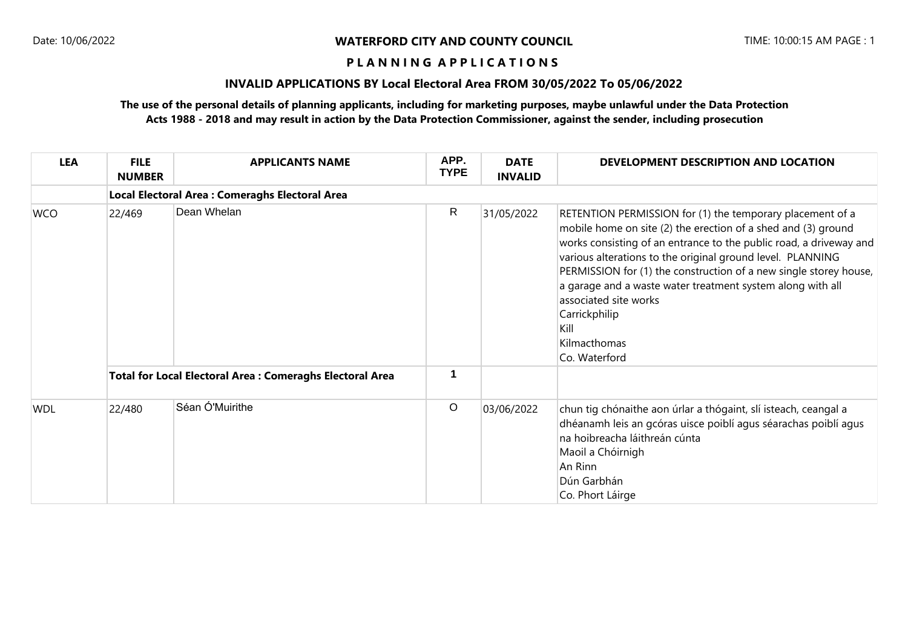#### **P L A N N I N G A P P L I C A T I O N S**

## **INVALID APPLICATIONS BY Local Electoral Area FROM 30/05/2022 To 05/06/2022**

## **The use of the personal details of planning applicants, including for marketing purposes, maybe unlawful under the Data Protection Acts 1988 - 2018 and may result in action by the Data Protection Commissioner, against the sender, including prosecution**

| <b>LEA</b> | <b>FILE</b><br><b>NUMBER</b>                                    | <b>APPLICANTS NAME</b>                          | APP.<br><b>TYPE</b> | <b>DATE</b><br><b>INVALID</b> | DEVELOPMENT DESCRIPTION AND LOCATION                                                                                                                                                                                                                                                                                                                                                                                                                                                 |  |  |  |  |  |
|------------|-----------------------------------------------------------------|-------------------------------------------------|---------------------|-------------------------------|--------------------------------------------------------------------------------------------------------------------------------------------------------------------------------------------------------------------------------------------------------------------------------------------------------------------------------------------------------------------------------------------------------------------------------------------------------------------------------------|--|--|--|--|--|
|            |                                                                 | Local Electoral Area : Comeraghs Electoral Area |                     |                               |                                                                                                                                                                                                                                                                                                                                                                                                                                                                                      |  |  |  |  |  |
| <b>WCO</b> | 22/469                                                          | Dean Whelan                                     | $\mathsf{R}$        | 31/05/2022                    | RETENTION PERMISSION for (1) the temporary placement of a<br>mobile home on site (2) the erection of a shed and (3) ground<br>works consisting of an entrance to the public road, a driveway and<br>various alterations to the original ground level. PLANNING<br>PERMISSION for (1) the construction of a new single storey house,<br>a garage and a waste water treatment system along with all<br>associated site works<br>Carrickphilip<br>Kill<br>Kilmacthomas<br>Co. Waterford |  |  |  |  |  |
|            | <b>Total for Local Electoral Area: Comeraghs Electoral Area</b> |                                                 | 1                   |                               |                                                                                                                                                                                                                                                                                                                                                                                                                                                                                      |  |  |  |  |  |
| <b>WDL</b> | 22/480                                                          | Séan Ó'Muirithe                                 | $\circ$             | 03/06/2022                    | chun tig chónaithe aon úrlar a thógaint, slí isteach, ceangal a<br>dhéanamh leis an gcóras uisce poiblí agus séarachas poiblí agus<br>na hoibreacha láithreán cúnta<br>Maoil a Chóirnigh<br>An Rinn<br>Dún Garbhán<br>Co. Phort Láirge                                                                                                                                                                                                                                               |  |  |  |  |  |